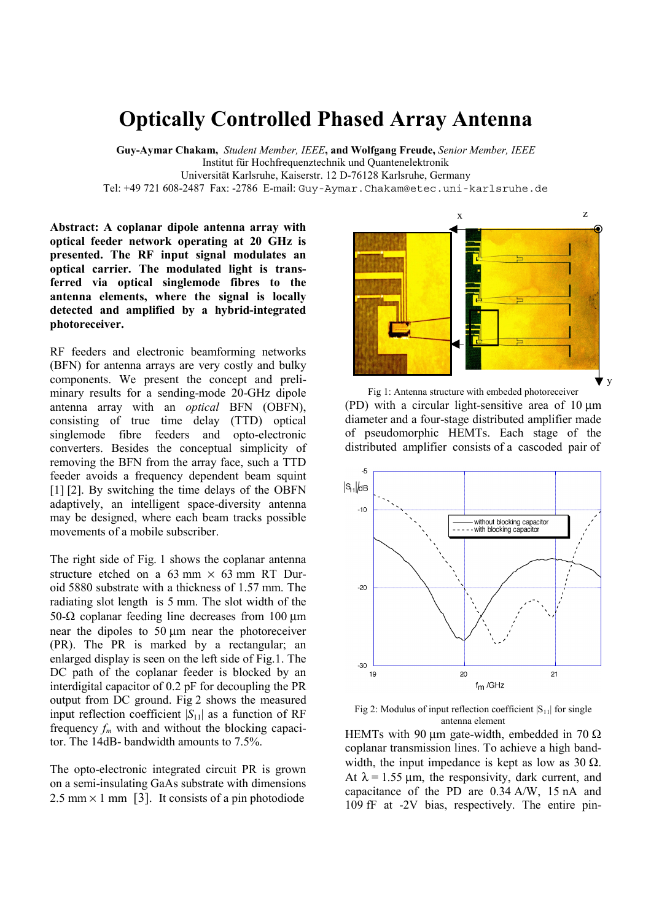## **Optically Controlled Phased Array Antenna**

**Guy-Aymar Chakam,** *Student Member, IEEE***, and Wolfgang Freude,** *Senior Member, IEEE* Institut für Hochfrequenztechnik und Quantenelektronik Universität Karlsruhe, Kaiserstr. 12 D-76128 Karlsruhe, Germany Tel: +49 721 608-2487 Fax: -2786 E-mail: Guy-Aymar.Chakam@etec.uni-karlsruhe.de

**Abstract: A coplanar dipole antenna array with optical feeder network operating at 20 GHz is presented. The RF input signal modulates an optical carrier. The modulated light is transferred via optical singlemode fibres to the antenna elements, where the signal is locally detected and amplified by a hybrid-integrated photoreceiver.**

RF feeders and electronic beamforming networks (BFN) for antenna arrays are very costly and bulky components. We present the concept and preliminary results for a sending-mode 20-GHz dipole antenna array with an *optical* BFN (OBFN), consisting of true time delay (TTD) optical singlemode fibre feeders and opto-electronic converters. Besides the conceptual simplicity of removing the BFN from the array face, such a TTD feeder avoids a frequency dependent beam squint [1] [2]. By switching the time delays of the OBFN adaptively, an intelligent space-diversity antenna may be designed, where each beam tracks possible movements of a mobile subscriber.

The right side of Fig. 1 shows the coplanar antenna structure etched on a  $63$  mm  $\times$   $63$  mm RT Duroid 5880 substrate with a thickness of 1.57 mm. The radiating slot length is 5 mm. The slot width of the 50-Ω coplanar feeding line decreases from 100  $\mu$ m near the dipoles to 50 um near the photoreceiver (PR). The PR is marked by a rectangular; an enlarged display is seen on the left side of Fig.1. The DC path of the coplanar feeder is blocked by an interdigital capacitor of 0.2 pF for decoupling the PR output from DC ground. Fig 2 shows the measured input reflection coefficient  $|S_{11}|$  as a function of RF frequency  $f_m$  with and without the blocking capacitor. The 14dB- bandwidth amounts to 7.5%.

The opto-electronic integrated circuit PR is grown on a semi-insulating GaAs substrate with dimensions  $2.5$  mm  $\times$  1 mm [3]. It consists of a pin photodiode



Fig 1: Antenna structure with embeded photoreceiver (PD) with a circular light-sensitive area of  $10 \mu m$ diameter and a four-stage distributed amplifier made of pseudomorphic HEMTs. Each stage of the distributed amplifier consists of a cascoded pair of



Fig 2: Modulus of input reflection coefficient  $|S_{11}|$  for single antenna element

HEMTs with 90  $\mu$ m gate-width, embedded in 70  $\Omega$ coplanar transmission lines. To achieve a high bandwidth, the input impedance is kept as low as 30  $\Omega$ . At  $\lambda$  = 1.55 µm, the responsivity, dark current, and capacitance of the PD are 0.34 A/W, 15 nA and 109 fF at -2V bias, respectively. The entire pin